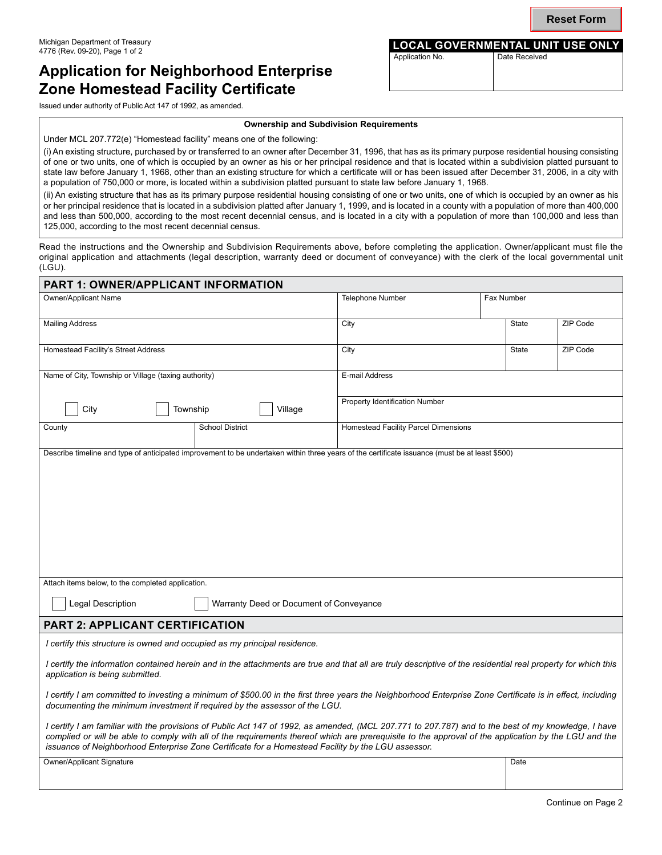# **Application for Neighborhood Enterprise Zone Homestead Facility Certificate**

#### **Ownership and Subdivision Requirements**

Under MCL 207.772(e) "Homestead facility" means one of the following:

(i) An existing structure, purchased by or transferred to an owner after December 31, 1996, that has as its primary purpose residential housing consisting of one or two units, one of which is occupied by an owner as his or her principal residence and that is located within a subdivision platted pursuant to state law before January 1, 1968, other than an existing structure for which a certificate will or has been issued after December 31, 2006, in a city with a population of 750,000 or more, is located within a subdivision platted pursuant to state law before January 1, 1968.

(ii) An existing structure that has as its primary purpose residential housing consisting of one or two units, one of which is occupied by an owner as his or her principal residence that is located in a subdivision platted after January 1, 1999, and is located in a county with a population of more than 400,000 and less than 500,000, according to the most recent decennial census, and is located in a city with a population of more than 100,000 and less than 125,000, according to the most recent decennial census.

Read the instructions and the Ownership and Subdivision Requirements above, before completing the application. Owner/applicant must file the original application and attachments (legal description, warranty deed or document of conveyance) with the clerk of the local governmental unit (LGU).

| PART 1: OWNER/APPLICANT INFORMATION                                                                                                                                                                                                                                                                                                                                                                               |                        |  |                                             |  |              |          |  |  |
|-------------------------------------------------------------------------------------------------------------------------------------------------------------------------------------------------------------------------------------------------------------------------------------------------------------------------------------------------------------------------------------------------------------------|------------------------|--|---------------------------------------------|--|--------------|----------|--|--|
| Owner/Applicant Name                                                                                                                                                                                                                                                                                                                                                                                              |                        |  | Telephone Number                            |  | Fax Number   |          |  |  |
| <b>Mailing Address</b>                                                                                                                                                                                                                                                                                                                                                                                            |                        |  | City                                        |  | State        | ZIP Code |  |  |
| Homestead Facility's Street Address                                                                                                                                                                                                                                                                                                                                                                               |                        |  | City                                        |  | <b>State</b> | ZIP Code |  |  |
| Name of City, Township or Village (taxing authority)                                                                                                                                                                                                                                                                                                                                                              |                        |  | E-mail Address                              |  |              |          |  |  |
| City<br>Township<br>Village                                                                                                                                                                                                                                                                                                                                                                                       |                        |  | Property Identification Number              |  |              |          |  |  |
| County                                                                                                                                                                                                                                                                                                                                                                                                            | <b>School District</b> |  | <b>Homestead Facility Parcel Dimensions</b> |  |              |          |  |  |
| Describe timeline and type of anticipated improvement to be undertaken within three years of the certificate issuance (must be at least \$500)                                                                                                                                                                                                                                                                    |                        |  |                                             |  |              |          |  |  |
|                                                                                                                                                                                                                                                                                                                                                                                                                   |                        |  |                                             |  |              |          |  |  |
|                                                                                                                                                                                                                                                                                                                                                                                                                   |                        |  |                                             |  |              |          |  |  |
| Attach items below, to the completed application.                                                                                                                                                                                                                                                                                                                                                                 |                        |  |                                             |  |              |          |  |  |
| Legal Description<br>Warranty Deed or Document of Conveyance                                                                                                                                                                                                                                                                                                                                                      |                        |  |                                             |  |              |          |  |  |
| <b>PART 2: APPLICANT CERTIFICATION</b>                                                                                                                                                                                                                                                                                                                                                                            |                        |  |                                             |  |              |          |  |  |
| I certify this structure is owned and occupied as my principal residence.                                                                                                                                                                                                                                                                                                                                         |                        |  |                                             |  |              |          |  |  |
| I certify the information contained herein and in the attachments are true and that all are truly descriptive of the residential real property for which this<br>application is being submitted.                                                                                                                                                                                                                  |                        |  |                                             |  |              |          |  |  |
| I certify I am committed to investing a minimum of \$500.00 in the first three years the Neighborhood Enterprise Zone Certificate is in effect, including<br>documenting the minimum investment if required by the assessor of the LGU.                                                                                                                                                                           |                        |  |                                             |  |              |          |  |  |
| I certify I am familiar with the provisions of Public Act 147 of 1992, as amended, (MCL 207.771 to 207.787) and to the best of my knowledge, I have<br>complied or will be able to comply with all of the requirements thereof which are prerequisite to the approval of the application by the LGU and the<br>issuance of Neighborhood Enterprise Zone Certificate for a Homestead Facility by the LGU assessor. |                        |  |                                             |  |              |          |  |  |
| Owner/Applicant Signature                                                                                                                                                                                                                                                                                                                                                                                         |                        |  |                                             |  | Date         |          |  |  |
|                                                                                                                                                                                                                                                                                                                                                                                                                   |                        |  |                                             |  |              |          |  |  |

**Reset Form**

**LOCAL GOVERNMENTAL UNIT USE ONLY**<br>Application No. **Date Received** 

Date Received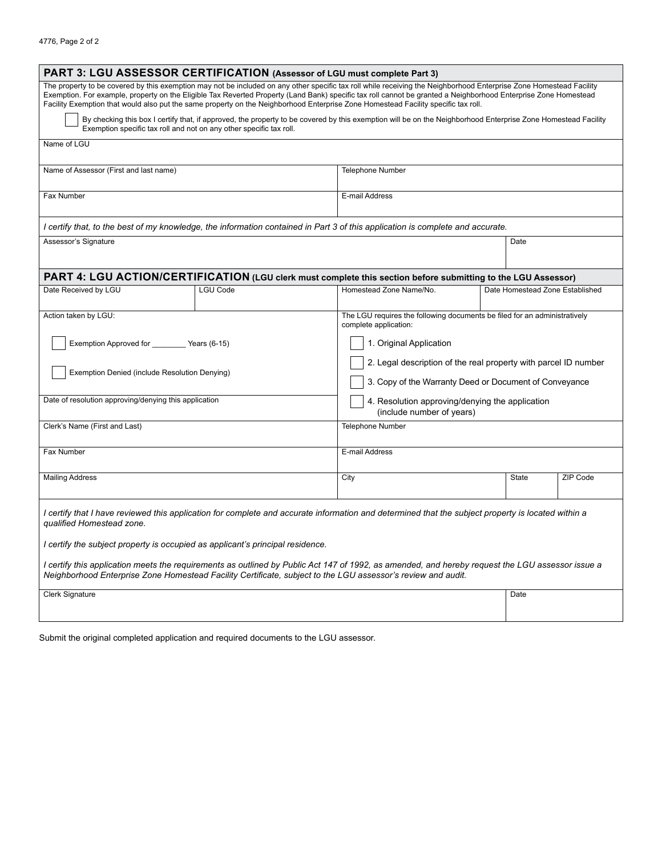| PART 3: LGU ASSESSOR CERTIFICATION (Assessor of LGU must complete Part 3)                                     |                                                                     |                                                                                                                                                                                                                                                                                                                                                                                                                                                                              |                                                                                                                           |          |  |  |  |  |
|---------------------------------------------------------------------------------------------------------------|---------------------------------------------------------------------|------------------------------------------------------------------------------------------------------------------------------------------------------------------------------------------------------------------------------------------------------------------------------------------------------------------------------------------------------------------------------------------------------------------------------------------------------------------------------|---------------------------------------------------------------------------------------------------------------------------|----------|--|--|--|--|
|                                                                                                               |                                                                     | The property to be covered by this exemption may not be included on any other specific tax roll while receiving the Neighborhood Enterprise Zone Homestead Facility<br>Exemption. For example, property on the Eligible Tax Reverted Property (Land Bank) specific tax roll cannot be granted a Neighborhood Enterprise Zone Homestead<br>Facility Exemption that would also put the same property on the Neighborhood Enterprise Zone Homestead Facility specific tax roll. |                                                                                                                           |          |  |  |  |  |
|                                                                                                               | Exemption specific tax roll and not on any other specific tax roll. | By checking this box I certify that, if approved, the property to be covered by this exemption will be on the Neighborhood Enterprise Zone Homestead Facility                                                                                                                                                                                                                                                                                                                |                                                                                                                           |          |  |  |  |  |
| Name of LGU                                                                                                   |                                                                     |                                                                                                                                                                                                                                                                                                                                                                                                                                                                              |                                                                                                                           |          |  |  |  |  |
| Name of Assessor (First and last name)                                                                        |                                                                     | Telephone Number                                                                                                                                                                                                                                                                                                                                                                                                                                                             |                                                                                                                           |          |  |  |  |  |
| Fax Number                                                                                                    |                                                                     | E-mail Address                                                                                                                                                                                                                                                                                                                                                                                                                                                               |                                                                                                                           |          |  |  |  |  |
|                                                                                                               |                                                                     | I certify that, to the best of my knowledge, the information contained in Part 3 of this application is complete and accurate.                                                                                                                                                                                                                                                                                                                                               |                                                                                                                           |          |  |  |  |  |
| Assessor's Signature                                                                                          |                                                                     |                                                                                                                                                                                                                                                                                                                                                                                                                                                                              | Date                                                                                                                      |          |  |  |  |  |
| PART 4: LGU ACTION/CERTIFICATION (LGU clerk must complete this section before submitting to the LGU Assessor) |                                                                     |                                                                                                                                                                                                                                                                                                                                                                                                                                                                              |                                                                                                                           |          |  |  |  |  |
| Date Received by LGU                                                                                          | <b>LGU Code</b>                                                     | Homestead Zone Name/No.                                                                                                                                                                                                                                                                                                                                                                                                                                                      | Date Homestead Zone Established                                                                                           |          |  |  |  |  |
| Action taken by LGU:                                                                                          |                                                                     | complete application:                                                                                                                                                                                                                                                                                                                                                                                                                                                        | The LGU requires the following documents be filed for an administratively                                                 |          |  |  |  |  |
| Exemption Approved for __________ Years (6-15)                                                                |                                                                     | 1. Original Application                                                                                                                                                                                                                                                                                                                                                                                                                                                      |                                                                                                                           |          |  |  |  |  |
| Exemption Denied (include Resolution Denying)                                                                 |                                                                     |                                                                                                                                                                                                                                                                                                                                                                                                                                                                              | 2. Legal description of the real property with parcel ID number<br>3. Copy of the Warranty Deed or Document of Conveyance |          |  |  |  |  |
| Date of resolution approving/denying this application                                                         |                                                                     |                                                                                                                                                                                                                                                                                                                                                                                                                                                                              | 4. Resolution approving/denying the application<br>(include number of years)                                              |          |  |  |  |  |
| Clerk's Name (First and Last)                                                                                 |                                                                     | <b>Telephone Number</b>                                                                                                                                                                                                                                                                                                                                                                                                                                                      |                                                                                                                           |          |  |  |  |  |
| Fax Number                                                                                                    |                                                                     | E-mail Address                                                                                                                                                                                                                                                                                                                                                                                                                                                               |                                                                                                                           |          |  |  |  |  |
| <b>Mailing Address</b>                                                                                        |                                                                     | City                                                                                                                                                                                                                                                                                                                                                                                                                                                                         | State                                                                                                                     | ZIP Code |  |  |  |  |
| qualified Homestead zone.                                                                                     |                                                                     | I certify that I have reviewed this application for complete and accurate information and determined that the subject property is located within a                                                                                                                                                                                                                                                                                                                           |                                                                                                                           |          |  |  |  |  |
| I certify the subject property is occupied as applicant's principal residence.                                |                                                                     |                                                                                                                                                                                                                                                                                                                                                                                                                                                                              |                                                                                                                           |          |  |  |  |  |
|                                                                                                               |                                                                     | I certify this application meets the requirements as outlined by Public Act 147 of 1992, as amended, and hereby request the LGU assessor issue a<br>Neighborhood Enterprise Zone Homestead Facility Certificate, subject to the LGU assessor's review and audit.                                                                                                                                                                                                             |                                                                                                                           |          |  |  |  |  |
| <b>Clerk Signature</b>                                                                                        |                                                                     |                                                                                                                                                                                                                                                                                                                                                                                                                                                                              | Date                                                                                                                      |          |  |  |  |  |
|                                                                                                               |                                                                     |                                                                                                                                                                                                                                                                                                                                                                                                                                                                              |                                                                                                                           |          |  |  |  |  |

Submit the original completed application and required documents to the LGU assessor.